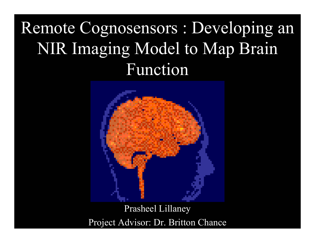# Remote Cognosensors : Developing an NIR Imaging Model to Map Brain Function



Prasheel Lillaney Project Advisor: Dr. Britton Chance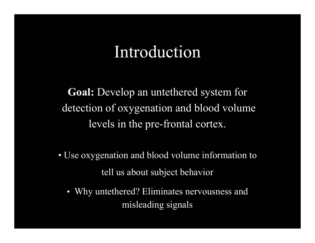#### Introduction

**Goal:** Develop an untethered system for detection of oxygenation and blood volume levels in the pre-frontal cortex.

- Use oxygenation and blood volume information to tell us about subject behavior
	- $\bullet$  Why untethered? Eliminates nervousness and misleading signals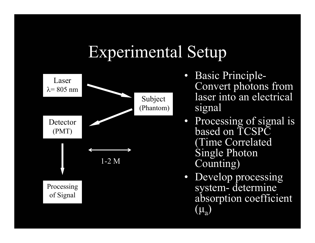### Experimental Setup



- Basic Principle-Convert photons from laser into an electrical signal
- Processing of signal is based on TCSPC (Time Correlated Single Photon Counting)
- Develop processing system- determine absorption coefficient  $(\mu_{\rm a})$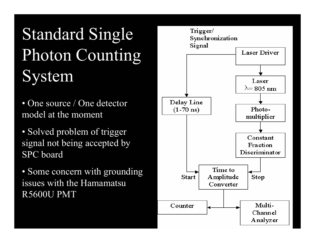# Standard Single Photon Counting System

- One source / One detector model at the moment
- Solved problem of trigger signal not being accepted by SPC board
- Some concern with grounding issues with the Hamamatsu R5600U PMT

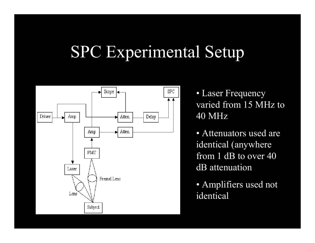# SPC Experimental Setup



• Laser Frequency varied from 15 MHz to 40 MHz

• Attenuators used are identical (anywhere from 1 dB to over 40 dB attenuation

• Amplifiers used not identical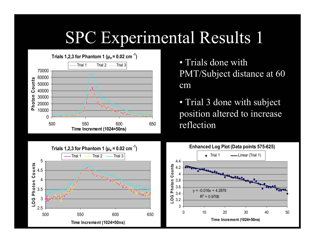# SPC Experimental Results 1



• Trials done with PMT/Subject distance at 60 cm

• Trial 3 done with subject position altered to increase reflection



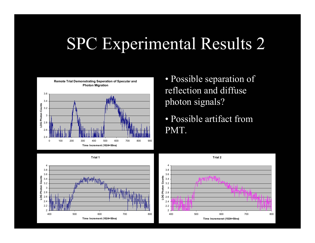# SPC Experimental Results 2



- Possible separation of reflection and diffuse photon signals?
- Possible artifact from PMT.



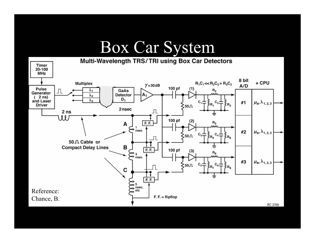### Box Car System

Multi-Wavelength TRS/TRI using Box Car Detectors Timer 20-100 **MHz** 8 bit  $R_1C_1 \ll R_2C_2 \approx R_3C_2$ + CPU Multiplex  $Y = 30dB$  $A/D$ 100 pf Pulse  $(1)$ Л GaAs  ${\tt R_2}$ λ1 Generator  $\lambda_2$ Detector A1  $(2ns)$ D<sub>1</sub>  $\lambda_3$ and Laser  $\mu_a, \lambda_{1,2,3}$ #1 **Driver** }R<sub>3</sub> ≷50Ω 2nsec Л  $2<sub>ns</sub>$ W 100 pf  $(2)$  $F.F.$  $R_{5}$ A  $\sum_{\text{nsec}}^{1}$ #2  $\mu_{\rm a}, \lambda_{\rm 1,2,3}$ ≷50Ω  $E_{\rm R_4}$  $\Box$ 50 . Cable or в **Compact Delay Lines**  $F. F.$ 100 pf  $(3)$  $R_8$ з  $\sum_{\text{nsec}}^3$  $\mu_{\mathsf{a}}, \lambda_{\mathsf{1,2,3}}$ #3  $50 \Omega$ C F.F. 5  $\sum$  nsec, Reference:  $\frac{1}{2}$  etc  $F. F. = flipflop$ Chance, B.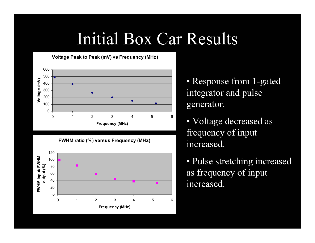### Initial Box Car Results

 **Voltage Peak to Peak (mV) vs Frequency (MHz)**



**FWHM ratio (%) versus Frequency (MHz)**



• Response from 1-gated integrator and pulse generator.

• Voltage decreased as frequency of input increased.

• Pulse stretching increased as frequency of input increased.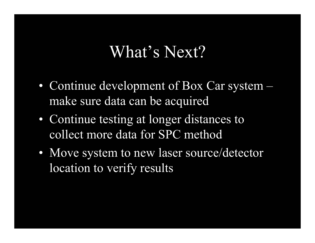#### What's Next?

- Continue development of Box Car system make sure data can be acquired
- Continue testing at longer distances to collect more data for SPC method
- Move system to new laser source/detector location to verify results